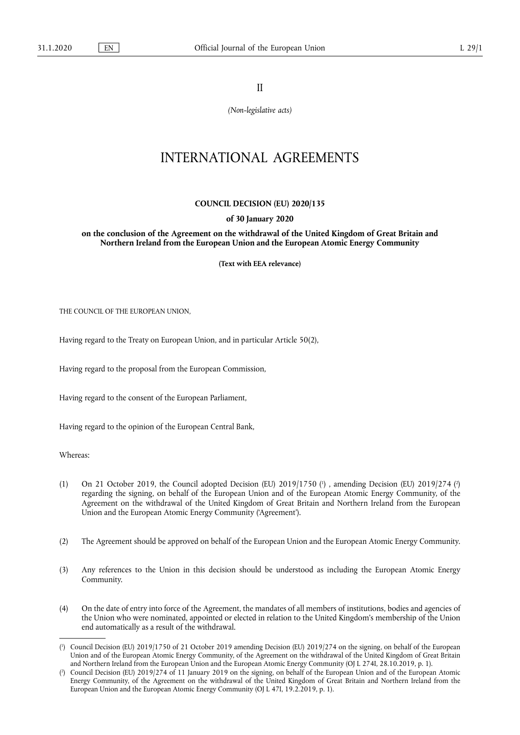II

*(Non-legislative acts)* 

# INTERNATIONAL AGREEMENTS

## **COUNCIL DECISION (EU) 2020/135**

### **of 30 January 2020**

**on the conclusion of the Agreement on the withdrawal of the United Kingdom of Great Britain and Northern Ireland from the European Union and the European Atomic Energy Community** 

**(Text with EEA relevance)** 

THE COUNCIL OF THE EUROPEAN UNION,

Having regard to the Treaty on European Union, and in particular Article 50(2),

Having regard to the proposal from the European Commission,

Having regard to the consent of the European Parliament,

Having regard to the opinion of the European Central Bank,

Whereas:

- (1) On 21 October 2019, the Council adopted Decision (EU)  $2019/1750$  (<sup>1</sup>), amending Decision (EU)  $2019/274$  (<sup>2</sup>) regarding the signing, on behalf of the European Union and of the European Atomic Energy Community, of the Agreement on the withdrawal of the United Kingdom of Great Britain and Northern Ireland from the European Union and the European Atomic Energy Community ('Agreement').
- (2) The Agreement should be approved on behalf of the European Union and the European Atomic Energy Community.
- (3) Any references to the Union in this decision should be understood as including the European Atomic Energy Community.
- (4) On the date of entry into force of the Agreement, the mandates of all members of institutions, bodies and agencies of the Union who were nominated, appointed or elected in relation to the United Kingdom's membership of the Union end automatically as a result of the withdrawal.

<sup>(</sup> 1 ) Council Decision (EU) 2019/1750 of 21 October 2019 amending Decision (EU) 2019/274 on the signing, on behalf of the European Union and of the European Atomic Energy Community, of the Agreement on the withdrawal of the United Kingdom of Great Britain and Northern Ireland from the European Union and the European Atomic Energy Community (OJ L 274I, 28.10.2019, p. 1).

<sup>(</sup> 2 ) Council Decision (EU) 2019/274 of 11 January 2019 on the signing, on behalf of the European Union and of the European Atomic Energy Community, of the Agreement on the withdrawal of the United Kingdom of Great Britain and Northern Ireland from the European Union and the European Atomic Energy Community (OJ L 47I, 19.2.2019, p. 1).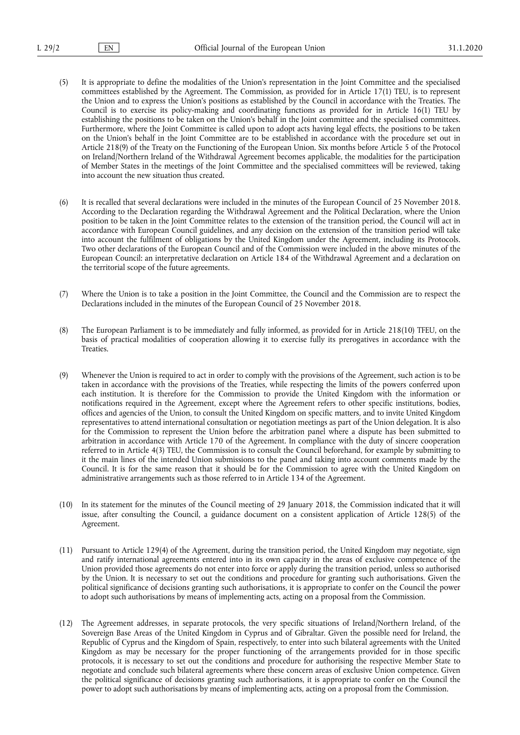- (5) It is appropriate to define the modalities of the Union's representation in the Joint Committee and the specialised committees established by the Agreement. The Commission, as provided for in Article 17(1) TEU, is to represent the Union and to express the Union's positions as established by the Council in accordance with the Treaties. The Council is to exercise its policy-making and coordinating functions as provided for in Article 16(1) TEU by establishing the positions to be taken on the Union's behalf in the Joint committee and the specialised committees. Furthermore, where the Joint Committee is called upon to adopt acts having legal effects, the positions to be taken on the Union's behalf in the Joint Committee are to be established in accordance with the procedure set out in Article 218(9) of the Treaty on the Functioning of the European Union. Six months before Article 5 of the Protocol on Ireland/Northern Ireland of the Withdrawal Agreement becomes applicable, the modalities for the participation of Member States in the meetings of the Joint Committee and the specialised committees will be reviewed, taking into account the new situation thus created.
- (6) It is recalled that several declarations were included in the minutes of the European Council of 25 November 2018. According to the Declaration regarding the Withdrawal Agreement and the Political Declaration, where the Union position to be taken in the Joint Committee relates to the extension of the transition period, the Council will act in accordance with European Council guidelines, and any decision on the extension of the transition period will take into account the fulfilment of obligations by the United Kingdom under the Agreement, including its Protocols. Two other declarations of the European Council and of the Commission were included in the above minutes of the European Council: an interpretative declaration on Article 184 of the Withdrawal Agreement and a declaration on the territorial scope of the future agreements.
- (7) Where the Union is to take a position in the Joint Committee, the Council and the Commission are to respect the Declarations included in the minutes of the European Council of 25 November 2018.
- (8) The European Parliament is to be immediately and fully informed, as provided for in Article 218(10) TFEU, on the basis of practical modalities of cooperation allowing it to exercise fully its prerogatives in accordance with the Treaties.
- (9) Whenever the Union is required to act in order to comply with the provisions of the Agreement, such action is to be taken in accordance with the provisions of the Treaties, while respecting the limits of the powers conferred upon each institution. It is therefore for the Commission to provide the United Kingdom with the information or notifications required in the Agreement, except where the Agreement refers to other specific institutions, bodies, offices and agencies of the Union, to consult the United Kingdom on specific matters, and to invite United Kingdom representatives to attend international consultation or negotiation meetings as part of the Union delegation. It is also for the Commission to represent the Union before the arbitration panel where a dispute has been submitted to arbitration in accordance with Article 170 of the Agreement. In compliance with the duty of sincere cooperation referred to in Article 4(3) TEU, the Commission is to consult the Council beforehand, for example by submitting to it the main lines of the intended Union submissions to the panel and taking into account comments made by the Council. It is for the same reason that it should be for the Commission to agree with the United Kingdom on administrative arrangements such as those referred to in Article 134 of the Agreement.
- (10) In its statement for the minutes of the Council meeting of 29 January 2018, the Commission indicated that it will issue, after consulting the Council, a guidance document on a consistent application of Article 128(5) of the Agreement.
- (11) Pursuant to Article 129(4) of the Agreement, during the transition period, the United Kingdom may negotiate, sign and ratify international agreements entered into in its own capacity in the areas of exclusive competence of the Union provided those agreements do not enter into force or apply during the transition period, unless so authorised by the Union. It is necessary to set out the conditions and procedure for granting such authorisations. Given the political significance of decisions granting such authorisations, it is appropriate to confer on the Council the power to adopt such authorisations by means of implementing acts, acting on a proposal from the Commission.
- (12) The Agreement addresses, in separate protocols, the very specific situations of Ireland/Northern Ireland, of the Sovereign Base Areas of the United Kingdom in Cyprus and of Gibraltar. Given the possible need for Ireland, the Republic of Cyprus and the Kingdom of Spain, respectively, to enter into such bilateral agreements with the United Kingdom as may be necessary for the proper functioning of the arrangements provided for in those specific protocols, it is necessary to set out the conditions and procedure for authorising the respective Member State to negotiate and conclude such bilateral agreements where these concern areas of exclusive Union competence. Given the political significance of decisions granting such authorisations, it is appropriate to confer on the Council the power to adopt such authorisations by means of implementing acts, acting on a proposal from the Commission.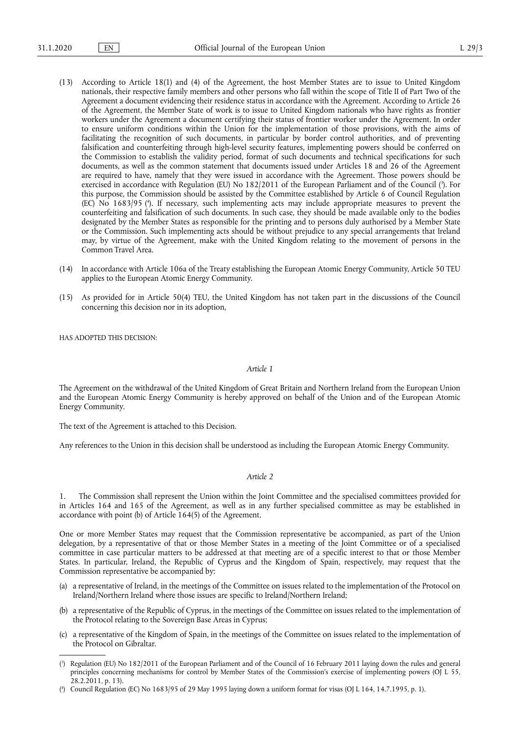- (13) According to Article 18(1) and (4) of the Agreement, the host Member States are to issue to United Kingdom nationals, their respective family members and other persons who fall within the scope of Title II of Part Two of the Agreement a document evidencing their residence status in accordance with the Agreement. According to Article 26 of the Agreement, the Member State of work is to issue to United Kingdom nationals who have rights as frontier workers under the Agreement a document certifying their status of frontier worker under the Agreement. In order to ensure uniform conditions within the Union for the implementation of those provisions, with the aims of facilitating the recognition of such documents, in particular by border control authorities, and of preventing falsification and counterfeiting through high-level security features, implementing powers should be conferred on the Commission to establish the validity period, format of such documents and technical specifications for such documents, as well as the common statement that documents issued under Articles 18 and 26 of the Agreement are required to have, namely that they were issued in accordance with the Agreement. Those powers should be exercised in accordance with Regulation (EU) No 182/2011 of the European Parliament and of the Council ( 3 ). For this purpose, the Commission should be assisted by the Committee established by Article 6 of Council Regulation (EC) No 1683/95 ( 4 ). If necessary, such implementing acts may include appropriate measures to prevent the counterfeiting and falsification of such documents. In such case, they should be made available only to the bodies designated by the Member States as responsible for the printing and to persons duly authorised by a Member State or the Commission. Such implementing acts should be without prejudice to any special arrangements that Ireland may, by virtue of the Agreement, make with the United Kingdom relating to the movement of persons in the Common Travel Area.
- (14) In accordance with Article 106a of the Treaty establishing the European Atomic Energy Community, Article 50 TEU applies to the European Atomic Energy Community.
- (15) As provided for in Article 50(4) TEU, the United Kingdom has not taken part in the discussions of the Council concerning this decision nor in its adoption,

HAS ADOPTED THIS DECISION:

## *Article 1*

The Agreement on the withdrawal of the United Kingdom of Great Britain and Northern Ireland from the European Union and the European Atomic Energy Community is hereby approved on behalf of the Union and of the European Atomic Energy Community.

The text of the Agreement is attached to this Decision.

Any references to the Union in this decision shall be understood as including the European Atomic Energy Community.

## *Article 2*

1. The Commission shall represent the Union within the Joint Committee and the specialised committees provided for in Articles 164 and 165 of the Agreement, as well as in any further specialised committee as may be established in accordance with point (b) of Article 164(5) of the Agreement.

One or more Member States may request that the Commission representative be accompanied, as part of the Union delegation, by a representative of that or those Member States in a meeting of the Joint Committee or of a specialised committee in case particular matters to be addressed at that meeting are of a specific interest to that or those Member States. In particular, Ireland, the Republic of Cyprus and the Kingdom of Spain, respectively, may request that the Commission representative be accompanied by:

- (a) a representative of Ireland, in the meetings of the Committee on issues related to the implementation of the Protocol on Ireland/Northern Ireland where those issues are specific to Ireland/Northern Ireland;
- (b) a representative of the Republic of Cyprus, in the meetings of the Committee on issues related to the implementation of the Protocol relating to the Sovereign Base Areas in Cyprus;
- (c) a representative of the Kingdom of Spain, in the meetings of the Committee on issues related to the implementation of the Protocol on Gibraltar.

<sup>(</sup> 3 ) Regulation (EU) No 182/2011 of the European Parliament and of the Council of 16 February 2011 laying down the rules and general principles concerning mechanisms for control by Member States of the Commission's exercise of implementing powers (OJ L 55, 28.2.2011, p. 13).

<sup>(</sup> 4 ) Council Regulation (EC) No 1683/95 of 29 May 1995 laying down a uniform format for visas (OJ L 164, 14.7.1995, p. 1).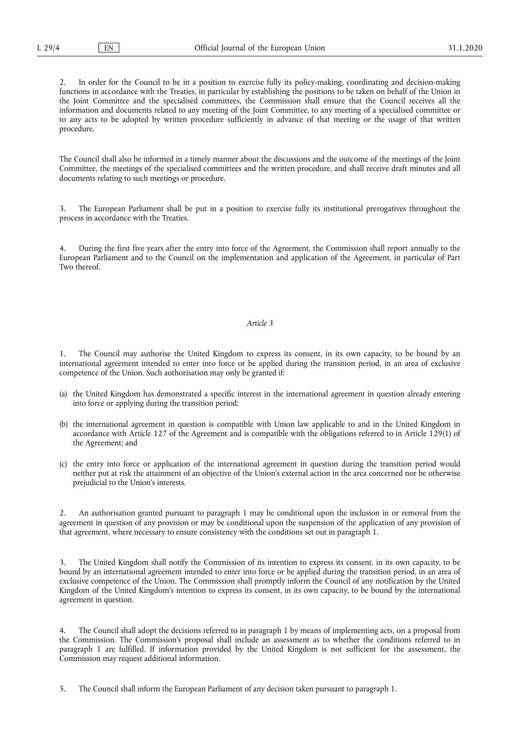2. In order for the Council to be in a position to exercise fully its policy-making, coordinating and decision-making functions in accordance with the Treaties, in particular by establishing the positions to be taken on behalf of the Union in the Joint Committee and the specialised committees, the Commission shall ensure that the Council receives all the information and documents related to any meeting of the Joint Committee, to any meeting of a specialised committee or to any acts to be adopted by written procedure sufficiently in advance of that meeting or the usage of that written procedure.

The Council shall also be informed in a timely manner about the discussions and the outcome of the meetings of the Joint Committee, the meetings of the specialised committees and the written procedure, and shall receive draft minutes and all documents relating to such meetings or procedure.

3. The European Parliament shall be put in a position to exercise fully its institutional prerogatives throughout the process in accordance with the Treaties.

4. During the first five years after the entry into force of the Agreement, the Commission shall report annually to the European Parliament and to the Council on the implementation and application of the Agreement, in particular of Part Two thereof.

## *Article 3*

1. The Council may authorise the United Kingdom to express its consent, in its own capacity, to be bound by an international agreement intended to enter into force or be applied during the transition period, in an area of exclusive competence of the Union. Such authorisation may only be granted if:

- (a) the United Kingdom has demonstrated a specific interest in the international agreement in question already entering into force or applying during the transition period;
- (b) the international agreement in question is compatible with Union law applicable to and in the United Kingdom in accordance with Article 127 of the Agreement and is compatible with the obligations referred to in Article 129(1) of the Agreement; and
- (c) the entry into force or application of the international agreement in question during the transition period would neither put at risk the attainment of an objective of the Union's external action in the area concerned nor be otherwise prejudicial to the Union's interests.

2. An authorisation granted pursuant to paragraph 1 may be conditional upon the inclusion in or removal from the agreement in question of any provision or may be conditional upon the suspension of the application of any provision of that agreement, where necessary to ensure consistency with the conditions set out in paragraph 1.

3. The United Kingdom shall notify the Commission of its intention to express its consent, in its own capacity, to be bound by an international agreement intended to enter into force or be applied during the transition period, in an area of exclusive competence of the Union. The Commission shall promptly inform the Council of any notification by the United Kingdom of the United Kingdom's intention to express its consent, in its own capacity, to be bound by the international agreement in question.

4. The Council shall adopt the decisions referred to in paragraph 1 by means of implementing acts, on a proposal from the Commission. The Commission's proposal shall include an assessment as to whether the conditions referred to in paragraph 1 are fulfilled. If information provided by the United Kingdom is not sufficient for the assessment, the Commission may request additional information.

5. The Council shall inform the European Parliament of any decision taken pursuant to paragraph 1.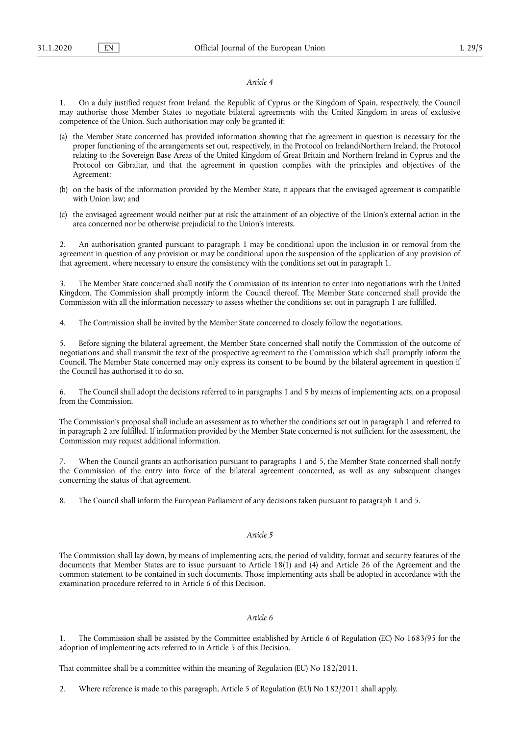#### *Article 4*

1. On a duly justified request from Ireland, the Republic of Cyprus or the Kingdom of Spain, respectively, the Council may authorise those Member States to negotiate bilateral agreements with the United Kingdom in areas of exclusive competence of the Union. Such authorisation may only be granted if:

- (a) the Member State concerned has provided information showing that the agreement in question is necessary for the proper functioning of the arrangements set out, respectively, in the Protocol on Ireland/Northern Ireland, the Protocol relating to the Sovereign Base Areas of the United Kingdom of Great Britain and Northern Ireland in Cyprus and the Protocol on Gibraltar, and that the agreement in question complies with the principles and objectives of the Agreement;
- (b) on the basis of the information provided by the Member State, it appears that the envisaged agreement is compatible with Union law; and
- (c) the envisaged agreement would neither put at risk the attainment of an objective of the Union's external action in the area concerned nor be otherwise prejudicial to the Union's interests.

2. An authorisation granted pursuant to paragraph 1 may be conditional upon the inclusion in or removal from the agreement in question of any provision or may be conditional upon the suspension of the application of any provision of that agreement, where necessary to ensure the consistency with the conditions set out in paragraph 1.

3. The Member State concerned shall notify the Commission of its intention to enter into negotiations with the United Kingdom. The Commission shall promptly inform the Council thereof. The Member State concerned shall provide the Commission with all the information necessary to assess whether the conditions set out in paragraph 1 are fulfilled.

4. The Commission shall be invited by the Member State concerned to closely follow the negotiations.

5. Before signing the bilateral agreement, the Member State concerned shall notify the Commission of the outcome of negotiations and shall transmit the text of the prospective agreement to the Commission which shall promptly inform the Council. The Member State concerned may only express its consent to be bound by the bilateral agreement in question if the Council has authorised it to do so.

6. The Council shall adopt the decisions referred to in paragraphs 1 and 5 by means of implementing acts, on a proposal from the Commission.

The Commission's proposal shall include an assessment as to whether the conditions set out in paragraph 1 and referred to in paragraph 2 are fulfilled. If information provided by the Member State concerned is not sufficient for the assessment, the Commission may request additional information.

7. When the Council grants an authorisation pursuant to paragraphs 1 and 5, the Member State concerned shall notify the Commission of the entry into force of the bilateral agreement concerned, as well as any subsequent changes concerning the status of that agreement.

8. The Council shall inform the European Parliament of any decisions taken pursuant to paragraph 1 and 5.

# *Article 5*

The Commission shall lay down, by means of implementing acts, the period of validity, format and security features of the documents that Member States are to issue pursuant to Article 18(1) and (4) and Article 26 of the Agreement and the common statement to be contained in such documents. Those implementing acts shall be adopted in accordance with the examination procedure referred to in Article 6 of this Decision.

# *Article 6*

1. The Commission shall be assisted by the Committee established by Article 6 of Regulation (EC) No 1683/95 for the adoption of implementing acts referred to in Article 5 of this Decision.

That committee shall be a committee within the meaning of Regulation (EU) No 182/2011.

2. Where reference is made to this paragraph, Article 5 of Regulation (EU) No 182/2011 shall apply.